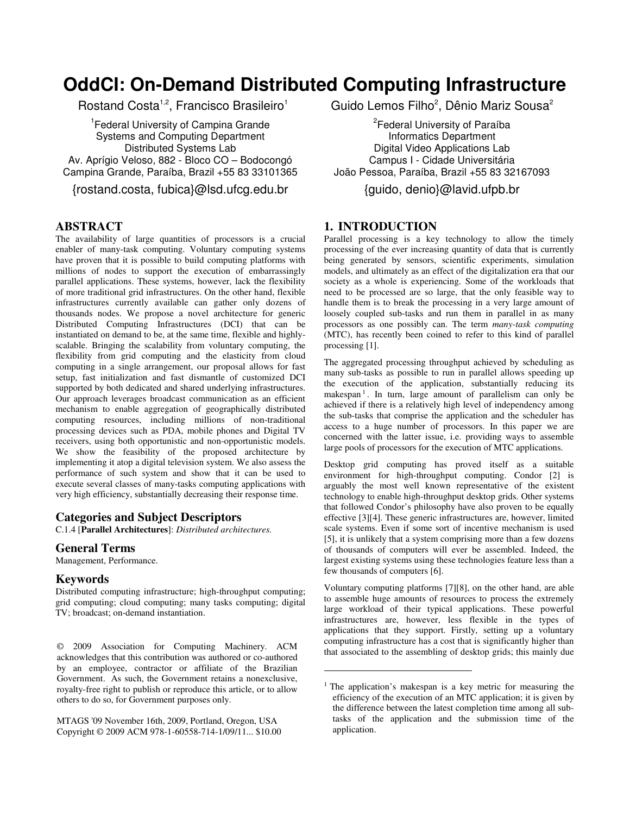# **OddCI: On-Demand Distributed Computing Infrastructure**

1

Rostand Costa<sup>1,2</sup>, Francisco Brasileiro<sup>1</sup>

<sup>1</sup> Federal University of Campina Grande Systems and Computing Department Distributed Systems Lab Av. Aprígio Veloso, 882 - Bloco CO – Bodocongó Campina Grande, Paraíba, Brazil +55 83 33101365

{rostand.costa, fubica}@lsd.ufcg.edu.br

# **ABSTRACT**

The availability of large quantities of processors is a crucial enabler of many-task computing. Voluntary computing systems have proven that it is possible to build computing platforms with millions of nodes to support the execution of embarrassingly parallel applications. These systems, however, lack the flexibility of more traditional grid infrastructures. On the other hand, flexible infrastructures currently available can gather only dozens of thousands nodes. We propose a novel architecture for generic Distributed Computing Infrastructures (DCI) that can be instantiated on demand to be, at the same time, flexible and highlyscalable. Bringing the scalability from voluntary computing, the flexibility from grid computing and the elasticity from cloud computing in a single arrangement, our proposal allows for fast setup, fast initialization and fast dismantle of customized DCI supported by both dedicated and shared underlying infrastructures. Our approach leverages broadcast communication as an efficient mechanism to enable aggregation of geographically distributed computing resources, including millions of non-traditional processing devices such as PDA, mobile phones and Digital TV receivers, using both opportunistic and non-opportunistic models. We show the feasibility of the proposed architecture by implementing it atop a digital television system. We also assess the performance of such system and show that it can be used to execute several classes of many-tasks computing applications with very high efficiency, substantially decreasing their response time.

### **Categories and Subject Descriptors**

C.1.4 [**Parallel Architectures**]: *Distributed architectures.* 

## **General Terms**

Management, Performance.

#### **Keywords**

Distributed computing infrastructure; high-throughput computing; grid computing; cloud computing; many tasks computing; digital TV; broadcast; on-demand instantiation.

© 2009 Association for Computing Machinery. ACM acknowledges that this contribution was authored or co-authored by an employee, contractor or affiliate of the Brazilian Government. As such, the Government retains a nonexclusive, royalty-free right to publish or reproduce this article, or to allow others to do so, for Government purposes only.

MTAGS '09 November 16th, 2009, Portland, Oregon, USA Copyright © 2009 ACM 978-1-60558-714-1/09/11... \$10.00 Guido Lemos Filho<sup>2</sup>, Dênio Mariz Sousa<sup>2</sup>

<sup>2</sup>Federal University of Paraíba Informatics Department Digital Video Applications Lab Campus I - Cidade Universitária João Pessoa, Paraíba, Brazil +55 83 32167093

{guido, denio}@lavid.ufpb.br

# **1. INTRODUCTION**

Parallel processing is a key technology to allow the timely processing of the ever increasing quantity of data that is currently being generated by sensors, scientific experiments, simulation models, and ultimately as an effect of the digitalization era that our society as a whole is experiencing. Some of the workloads that need to be processed are so large, that the only feasible way to handle them is to break the processing in a very large amount of loosely coupled sub-tasks and run them in parallel in as many processors as one possibly can. The term *many-task computing* (MTC), has recently been coined to refer to this kind of parallel processing [1].

The aggregated processing throughput achieved by scheduling as many sub-tasks as possible to run in parallel allows speeding up the execution of the application, substantially reducing its makespan<sup>1</sup>. In turn, large amount of parallelism can only be achieved if there is a relatively high level of independency among the sub-tasks that comprise the application and the scheduler has access to a huge number of processors. In this paper we are concerned with the latter issue, i.e. providing ways to assemble large pools of processors for the execution of MTC applications.

Desktop grid computing has proved itself as a suitable environment for high-throughput computing. Condor [2] is arguably the most well known representative of the existent technology to enable high-throughput desktop grids. Other systems that followed Condor's philosophy have also proven to be equally effective [3][4]. These generic infrastructures are, however, limited scale systems. Even if some sort of incentive mechanism is used [5], it is unlikely that a system comprising more than a few dozens of thousands of computers will ever be assembled. Indeed, the largest existing systems using these technologies feature less than a few thousands of computers [6].

Voluntary computing platforms [7][8], on the other hand, are able to assemble huge amounts of resources to process the extremely large workload of their typical applications. These powerful infrastructures are, however, less flexible in the types of applications that they support. Firstly, setting up a voluntary computing infrastructure has a cost that is significantly higher than that associated to the assembling of desktop grids; this mainly due

<sup>&</sup>lt;sup>1</sup> The application's makespan is a key metric for measuring the efficiency of the execution of an MTC application; it is given by the difference between the latest completion time among all subtasks of the application and the submission time of the application.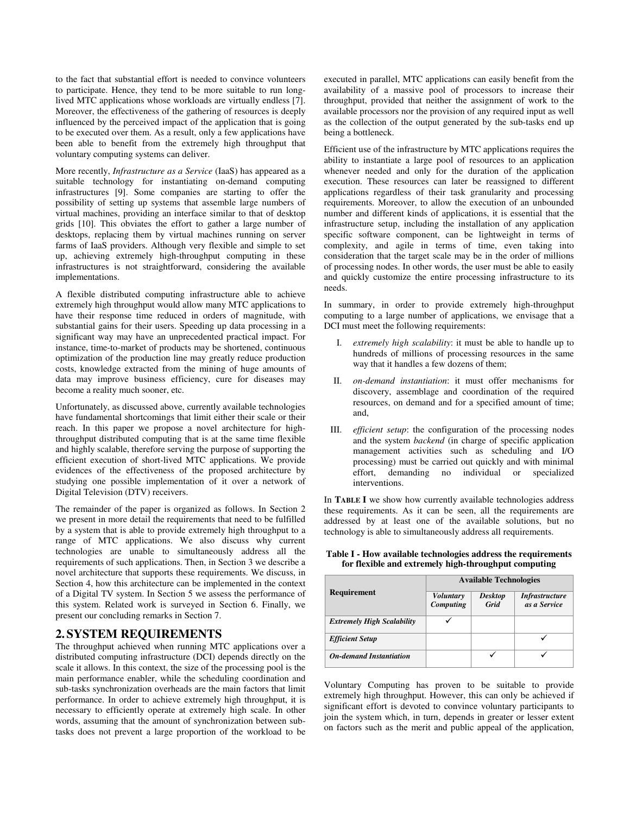to the fact that substantial effort is needed to convince volunteers to participate. Hence, they tend to be more suitable to run longlived MTC applications whose workloads are virtually endless [7]. Moreover, the effectiveness of the gathering of resources is deeply influenced by the perceived impact of the application that is going to be executed over them. As a result, only a few applications have been able to benefit from the extremely high throughput that voluntary computing systems can deliver.

More recently, *Infrastructure as a Service* (IaaS) has appeared as a suitable technology for instantiating on-demand computing infrastructures [9]. Some companies are starting to offer the possibility of setting up systems that assemble large numbers of virtual machines, providing an interface similar to that of desktop grids [10]. This obviates the effort to gather a large number of desktops, replacing them by virtual machines running on server farms of IaaS providers. Although very flexible and simple to set up, achieving extremely high-throughput computing in these infrastructures is not straightforward, considering the available implementations.

A flexible distributed computing infrastructure able to achieve extremely high throughput would allow many MTC applications to have their response time reduced in orders of magnitude, with substantial gains for their users. Speeding up data processing in a significant way may have an unprecedented practical impact. For instance, time-to-market of products may be shortened, continuous optimization of the production line may greatly reduce production costs, knowledge extracted from the mining of huge amounts of data may improve business efficiency, cure for diseases may become a reality much sooner, etc.

Unfortunately, as discussed above, currently available technologies have fundamental shortcomings that limit either their scale or their reach. In this paper we propose a novel architecture for highthroughput distributed computing that is at the same time flexible and highly scalable, therefore serving the purpose of supporting the efficient execution of short-lived MTC applications. We provide evidences of the effectiveness of the proposed architecture by studying one possible implementation of it over a network of Digital Television (DTV) receivers.

The remainder of the paper is organized as follows. In Section 2 we present in more detail the requirements that need to be fulfilled by a system that is able to provide extremely high throughput to a range of MTC applications. We also discuss why current technologies are unable to simultaneously address all the requirements of such applications. Then, in Section 3 we describe a novel architecture that supports these requirements. We discuss, in Section 4, how this architecture can be implemented in the context of a Digital TV system. In Section 5 we assess the performance of this system. Related work is surveyed in Section 6. Finally, we present our concluding remarks in Section 7.

# **2. SYSTEM REQUIREMENTS**

The throughput achieved when running MTC applications over a distributed computing infrastructure (DCI) depends directly on the scale it allows. In this context, the size of the processing pool is the main performance enabler, while the scheduling coordination and sub-tasks synchronization overheads are the main factors that limit performance. In order to achieve extremely high throughput, it is necessary to efficiently operate at extremely high scale. In other words, assuming that the amount of synchronization between subtasks does not prevent a large proportion of the workload to be

executed in parallel, MTC applications can easily benefit from the availability of a massive pool of processors to increase their throughput, provided that neither the assignment of work to the available processors nor the provision of any required input as well as the collection of the output generated by the sub-tasks end up being a bottleneck.

Efficient use of the infrastructure by MTC applications requires the ability to instantiate a large pool of resources to an application whenever needed and only for the duration of the application execution. These resources can later be reassigned to different applications regardless of their task granularity and processing requirements. Moreover, to allow the execution of an unbounded number and different kinds of applications, it is essential that the infrastructure setup, including the installation of any application specific software component, can be lightweight in terms of complexity, and agile in terms of time, even taking into consideration that the target scale may be in the order of millions of processing nodes. In other words, the user must be able to easily and quickly customize the entire processing infrastructure to its needs.

In summary, in order to provide extremely high-throughput computing to a large number of applications, we envisage that a DCI must meet the following requirements:

- I. *extremely high scalability*: it must be able to handle up to hundreds of millions of processing resources in the same way that it handles a few dozens of them;
- II. *on-demand instantiation*: it must offer mechanisms for discovery, assemblage and coordination of the required resources, on demand and for a specified amount of time; and,
- III. *efficient setup*: the configuration of the processing nodes and the system *backend* (in charge of specific application management activities such as scheduling and I/O processing) must be carried out quickly and with minimal effort, demanding no individual or specialized interventions.

In **TABLE I** we show how currently available technologies address these requirements. As it can be seen, all the requirements are addressed by at least one of the available solutions, but no technology is able to simultaneously address all requirements.

**for flexible and extremely high-throughput computing Requirement Available Technologies** 

**Table I - How available technologies address the requirements** 

| <b>Requirement</b>                | <b>Available Technologies</b> |                        |                                       |
|-----------------------------------|-------------------------------|------------------------|---------------------------------------|
|                                   | <b>Voluntary</b><br>Computing | <b>Desktop</b><br>Grid | <b>Infrastructure</b><br>as a Service |
| <b>Extremely High Scalability</b> |                               |                        |                                       |
| <b>Efficient Setup</b>            |                               |                        |                                       |
| <b>On-demand Instantiation</b>    |                               |                        |                                       |

Voluntary Computing has proven to be suitable to provide extremely high throughput. However, this can only be achieved if significant effort is devoted to convince voluntary participants to join the system which, in turn, depends in greater or lesser extent on factors such as the merit and public appeal of the application,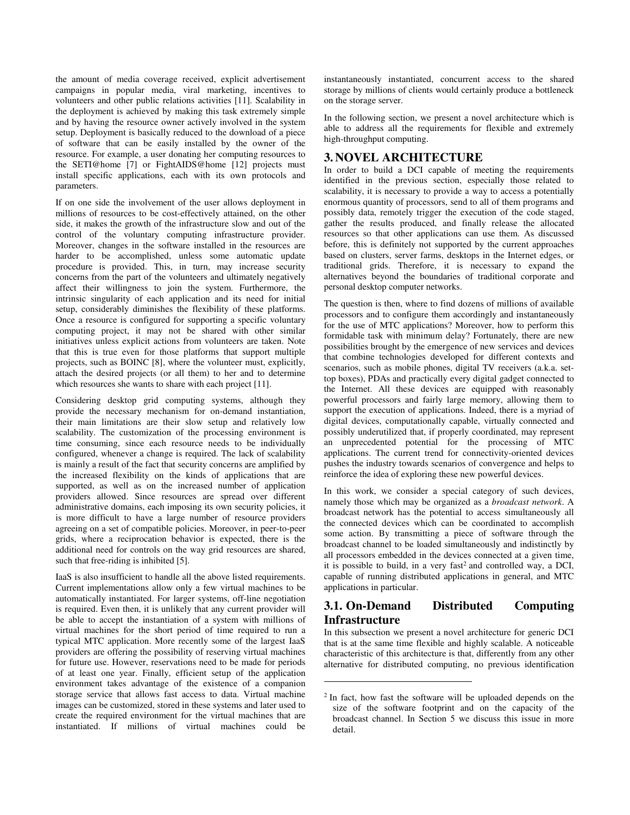the amount of media coverage received, explicit advertisement campaigns in popular media, viral marketing, incentives to volunteers and other public relations activities [11]. Scalability in the deployment is achieved by making this task extremely simple and by having the resource owner actively involved in the system setup. Deployment is basically reduced to the download of a piece of software that can be easily installed by the owner of the resource. For example, a user donating her computing resources to the SETI@home [7] or FightAIDS@home [12] projects must install specific applications, each with its own protocols and parameters.

If on one side the involvement of the user allows deployment in millions of resources to be cost-effectively attained, on the other side, it makes the growth of the infrastructure slow and out of the control of the voluntary computing infrastructure provider. Moreover, changes in the software installed in the resources are harder to be accomplished, unless some automatic update procedure is provided. This, in turn, may increase security concerns from the part of the volunteers and ultimately negatively affect their willingness to join the system. Furthermore, the intrinsic singularity of each application and its need for initial setup, considerably diminishes the flexibility of these platforms. Once a resource is configured for supporting a specific voluntary computing project, it may not be shared with other similar initiatives unless explicit actions from volunteers are taken. Note that this is true even for those platforms that support multiple projects, such as BOINC [8], where the volunteer must, explicitly, attach the desired projects (or all them) to her and to determine which resources she wants to share with each project [11].

Considering desktop grid computing systems, although they provide the necessary mechanism for on-demand instantiation, their main limitations are their slow setup and relatively low scalability. The customization of the processing environment is time consuming, since each resource needs to be individually configured, whenever a change is required. The lack of scalability is mainly a result of the fact that security concerns are amplified by the increased flexibility on the kinds of applications that are supported, as well as on the increased number of application providers allowed. Since resources are spread over different administrative domains, each imposing its own security policies, it is more difficult to have a large number of resource providers agreeing on a set of compatible policies. Moreover, in peer-to-peer grids, where a reciprocation behavior is expected, there is the additional need for controls on the way grid resources are shared, such that free-riding is inhibited [5].

IaaS is also insufficient to handle all the above listed requirements. Current implementations allow only a few virtual machines to be automatically instantiated. For larger systems, off-line negotiation is required. Even then, it is unlikely that any current provider will be able to accept the instantiation of a system with millions of virtual machines for the short period of time required to run a typical MTC application. More recently some of the largest IaaS providers are offering the possibility of reserving virtual machines for future use. However, reservations need to be made for periods of at least one year. Finally, efficient setup of the application environment takes advantage of the existence of a companion storage service that allows fast access to data. Virtual machine images can be customized, stored in these systems and later used to create the required environment for the virtual machines that are instantiated. If millions of virtual machines could be

instantaneously instantiated, concurrent access to the shared storage by millions of clients would certainly produce a bottleneck on the storage server.

In the following section, we present a novel architecture which is able to address all the requirements for flexible and extremely high-throughput computing.

## **3. NOVEL ARCHITECTURE**

In order to build a DCI capable of meeting the requirements identified in the previous section, especially those related to scalability, it is necessary to provide a way to access a potentially enormous quantity of processors, send to all of them programs and possibly data, remotely trigger the execution of the code staged, gather the results produced, and finally release the allocated resources so that other applications can use them. As discussed before, this is definitely not supported by the current approaches based on clusters, server farms, desktops in the Internet edges, or traditional grids. Therefore, it is necessary to expand the alternatives beyond the boundaries of traditional corporate and personal desktop computer networks.

The question is then, where to find dozens of millions of available processors and to configure them accordingly and instantaneously for the use of MTC applications? Moreover, how to perform this formidable task with minimum delay? Fortunately, there are new possibilities brought by the emergence of new services and devices that combine technologies developed for different contexts and scenarios, such as mobile phones, digital TV receivers (a.k.a. settop boxes), PDAs and practically every digital gadget connected to the Internet. All these devices are equipped with reasonably powerful processors and fairly large memory, allowing them to support the execution of applications. Indeed, there is a myriad of digital devices, computationally capable, virtually connected and possibly underutilized that, if properly coordinated, may represent an unprecedented potential for the processing of MTC applications. The current trend for connectivity-oriented devices pushes the industry towards scenarios of convergence and helps to reinforce the idea of exploring these new powerful devices.

In this work, we consider a special category of such devices, namely those which may be organized as a *broadcast network*. A broadcast network has the potential to access simultaneously all the connected devices which can be coordinated to accomplish some action. By transmitting a piece of software through the broadcast channel to be loaded simultaneously and indistinctly by all processors embedded in the devices connected at a given time, it is possible to build, in a very fast<sup>2</sup> and controlled way, a DCI, capable of running distributed applications in general, and MTC applications in particular.

## **3.1. On-Demand Distributed Computing Infrastructure**

In this subsection we present a novel architecture for generic DCI that is at the same time flexible and highly scalable. A noticeable characteristic of this architecture is that, differently from any other alternative for distributed computing, no previous identification

1

<sup>&</sup>lt;sup>2</sup> In fact, how fast the software will be uploaded depends on the size of the software footprint and on the capacity of the broadcast channel. In Section 5 we discuss this issue in more detail.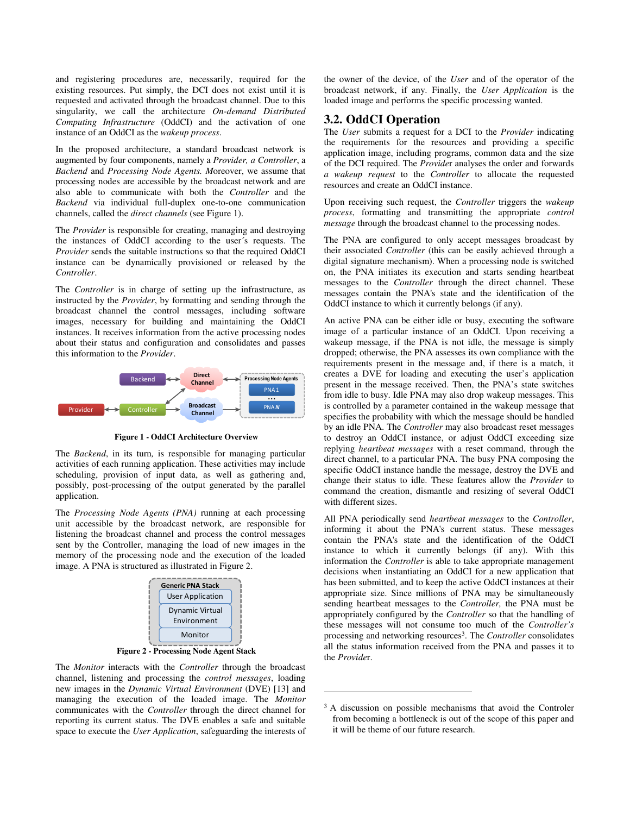and registering procedures are, necessarily, required for the existing resources. Put simply, the DCI does not exist until it is requested and activated through the broadcast channel. Due to this singularity, we call the architecture *On-demand Distributed Computing Infrastructure* (OddCI) and the activation of one instance of an OddCI as the *wakeup process*.

In the proposed architecture, a standard broadcast network is augmented by four components, namely a *Provider, a Controller*, a *Backend* and *Processing Node Agents. M*oreover, we assume that processing nodes are accessible by the broadcast network and are also able to communicate with both the *Controller* and the *Backend* via individual full-duplex one-to-one communication channels, called the *direct channels* (see Figure 1).

The *Provider* is responsible for creating, managing and destroying the instances of OddCI according to the user´s requests. The *Provider* sends the suitable instructions so that the required OddCI instance can be dynamically provisioned or released by the *Controller*.

The *Controller* is in charge of setting up the infrastructure, as instructed by the *Provider*, by formatting and sending through the broadcast channel the control messages, including software images, necessary for building and maintaining the OddCI instances. It receives information from the active processing nodes about their status and configuration and consolidates and passes this information to the *Provider*.



**Figure 1 - OddCI Architecture Overview** 

The *Backend*, in its turn*,* is responsible for managing particular activities of each running application. These activities may include scheduling, provision of input data, as well as gathering and, possibly, post-processing of the output generated by the parallel application.

The *Processing Node Agents (PNA)* running at each processing unit accessible by the broadcast network, are responsible for listening the broadcast channel and process the control messages sent by the Controller, managing the load of new images in the memory of the processing node and the execution of the loaded image. A PNA is structured as illustrated in Figure 2.



**Figure 2 - Processing Node Agent Stack** 

The *Monitor* interacts with the *Controller* through the broadcast channel, listening and processing the *control messages*, loading new images in the *Dynamic Virtual Environment* (DVE) [13] and managing the execution of the loaded image. The *Monitor* communicates with the *Controller* through the direct channel for reporting its current status. The DVE enables a safe and suitable space to execute the *User Application*, safeguarding the interests of the owner of the device, of the *User* and of the operator of the broadcast network, if any. Finally, the *User Application* is the loaded image and performs the specific processing wanted.

## **3.2. OddCI Operation**

The *User* submits a request for a DCI to the *Provider* indicating the requirements for the resources and providing a specific application image, including programs, common data and the size of the DCI required. The *Provide*r analyses the order and forwards *a wakeup request* to the *Controller* to allocate the requested resources and create an OddCI instance.

Upon receiving such request, the *Controller* triggers the *wakeup process*, formatting and transmitting the appropriate *control message* through the broadcast channel to the processing nodes.

The PNA are configured to only accept messages broadcast by their associated *Controller* (this can be easily achieved through a digital signature mechanism). When a processing node is switched on, the PNA initiates its execution and starts sending heartbeat messages to the *Controller* through the direct channel. These messages contain the PNA's state and the identification of the OddCI instance to which it currently belongs (if any).

An active PNA can be either idle or busy, executing the software image of a particular instance of an OddCI. Upon receiving a wakeup message, if the PNA is not idle, the message is simply dropped; otherwise, the PNA assesses its own compliance with the requirements present in the message and, if there is a match, it creates a DVE for loading and executing the user's application present in the message received. Then, the PNA's state switches from idle to busy. Idle PNA may also drop wakeup messages. This is controlled by a parameter contained in the wakeup message that specifies the probability with which the message should be handled by an idle PNA. The *Controller* may also broadcast reset messages to destroy an OddCI instance, or adjust OddCI exceeding size replying *heartbeat messages* with a reset command, through the direct channel, to a particular PNA. The busy PNA composing the specific OddCI instance handle the message, destroy the DVE and change their status to idle. These features allow the *Provider* to command the creation, dismantle and resizing of several OddCI with different sizes.

All PNA periodically send *heartbeat messages* to the *Controller*, informing it about the PNA's current status. These messages contain the PNA's state and the identification of the OddCI instance to which it currently belongs (if any). With this information the *Controller* is able to take appropriate management decisions when instantiating an OddCI for a new application that has been submitted, and to keep the active OddCI instances at their appropriate size. Since millions of PNA may be simultaneously sending heartbeat messages to the *Controller,* the PNA must be appropriately configured by the *Controller* so that the handling of these messages will not consume too much of the *Controller's* processing and networking resources<sup>3</sup>. The *Controller* consolidates all the status information received from the PNA and passes it to the *Provide*r.

1

<sup>&</sup>lt;sup>3</sup> A discussion on possible mechanisms that avoid the Controler from becoming a bottleneck is out of the scope of this paper and it will be theme of our future research.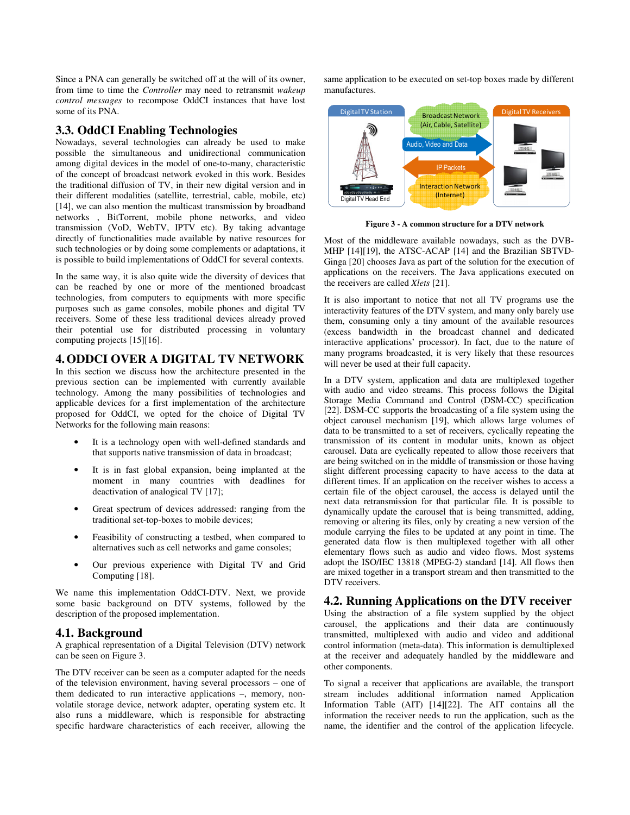Since a PNA can generally be switched off at the will of its owner, from time to time the *Controller* may need to retransmit *wakeup control messages* to recompose OddCI instances that have lost some of its PNA.

## **3.3. OddCI Enabling Technologies**

Nowadays, several technologies can already be used to make possible the simultaneous and unidirectional communication among digital devices in the model of one-to-many, characteristic of the concept of broadcast network evoked in this work. Besides the traditional diffusion of TV, in their new digital version and in their different modalities (satellite, terrestrial, cable, mobile, etc) [14], we can also mention the multicast transmission by broadband networks , BitTorrent, mobile phone networks, and video transmission (VoD, WebTV, IPTV etc). By taking advantage directly of functionalities made available by native resources for such technologies or by doing some complements or adaptations, it is possible to build implementations of OddCI for several contexts.

In the same way, it is also quite wide the diversity of devices that can be reached by one or more of the mentioned broadcast technologies, from computers to equipments with more specific purposes such as game consoles, mobile phones and digital TV receivers. Some of these less traditional devices already proved their potential use for distributed processing in voluntary computing projects [15][16].

## **4.ODDCI OVER A DIGITAL TV NETWORK**

In this section we discuss how the architecture presented in the previous section can be implemented with currently available technology. Among the many possibilities of technologies and applicable devices for a first implementation of the architecture proposed for OddCI, we opted for the choice of Digital TV Networks for the following main reasons:

- It is a technology open with well-defined standards and that supports native transmission of data in broadcast;
- It is in fast global expansion, being implanted at the moment in many countries with deadlines for deactivation of analogical TV [17];
- Great spectrum of devices addressed: ranging from the traditional set-top-boxes to mobile devices;
- Feasibility of constructing a testbed, when compared to alternatives such as cell networks and game consoles;
- Our previous experience with Digital TV and Grid Computing [18].

We name this implementation OddCI-DTV. Next, we provide some basic background on DTV systems, followed by the description of the proposed implementation.

## **4.1. Background**

A graphical representation of a Digital Television (DTV) network can be seen on Figure 3.

The DTV receiver can be seen as a computer adapted for the needs of the television environment, having several processors – one of them dedicated to run interactive applications –, memory, nonvolatile storage device, network adapter, operating system etc. It also runs a middleware, which is responsible for abstracting specific hardware characteristics of each receiver, allowing the

same application to be executed on set-top boxes made by different manufactures.



**Figure 3 - A common structure for a DTV network** 

Most of the middleware available nowadays, such as the DVB-MHP [14][19], the ATSC-ACAP [14] and the Brazilian SBTVD-Ginga [20] chooses Java as part of the solution for the execution of applications on the receivers. The Java applications executed on the receivers are called *Xlets* [21].

It is also important to notice that not all TV programs use the interactivity features of the DTV system, and many only barely use them, consuming only a tiny amount of the available resources (excess bandwidth in the broadcast channel and dedicated interactive applications' processor). In fact, due to the nature of many programs broadcasted, it is very likely that these resources will never be used at their full capacity.

In a DTV system, application and data are multiplexed together with audio and video streams. This process follows the Digital Storage Media Command and Control (DSM-CC) specification [22]. DSM-CC supports the broadcasting of a file system using the object carousel mechanism [19], which allows large volumes of data to be transmitted to a set of receivers, cyclically repeating the transmission of its content in modular units, known as object carousel. Data are cyclically repeated to allow those receivers that are being switched on in the middle of transmission or those having slight different processing capacity to have access to the data at different times. If an application on the receiver wishes to access a certain file of the object carousel, the access is delayed until the next data retransmission for that particular file. It is possible to dynamically update the carousel that is being transmitted, adding, removing or altering its files, only by creating a new version of the module carrying the files to be updated at any point in time. The generated data flow is then multiplexed together with all other elementary flows such as audio and video flows. Most systems adopt the ISO/IEC 13818 (MPEG-2) standard [14]. All flows then are mixed together in a transport stream and then transmitted to the DTV receivers.

## **4.2. Running Applications on the DTV receiver**

Using the abstraction of a file system supplied by the object carousel, the applications and their data are continuously transmitted, multiplexed with audio and video and additional control information (meta-data). This information is demultiplexed at the receiver and adequately handled by the middleware and other components.

To signal a receiver that applications are available, the transport stream includes additional information named Application Information Table (AIT) [14][22]. The AIT contains all the information the receiver needs to run the application, such as the name, the identifier and the control of the application lifecycle.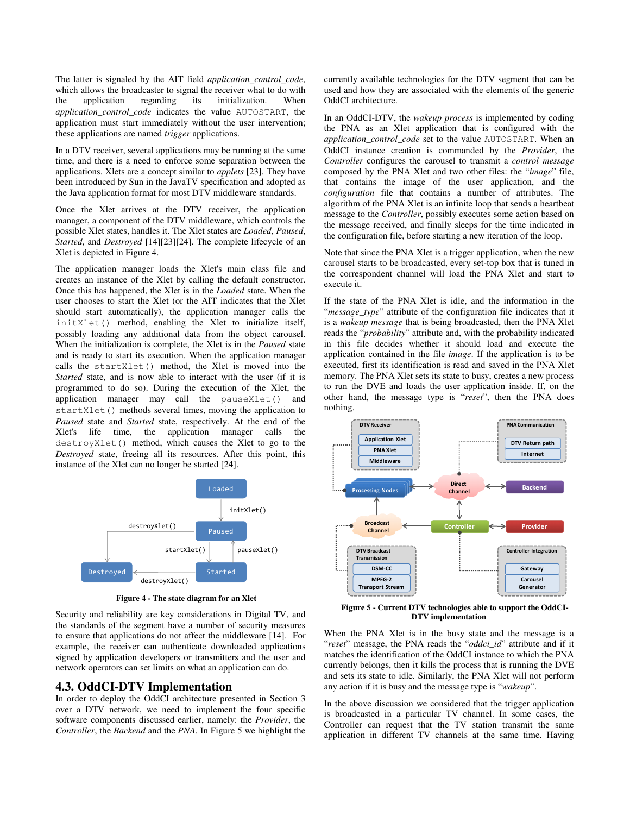The latter is signaled by the AIT field *application\_control\_code*, which allows the broadcaster to signal the receiver what to do with the application regarding its initialization. When *application\_control\_code* indicates the value AUTOSTART, the application must start immediately without the user intervention; these applications are named *trigger* applications.

In a DTV receiver, several applications may be running at the same time, and there is a need to enforce some separation between the applications. Xlets are a concept similar to *applets* [23]. They have been introduced by Sun in the JavaTV specification and adopted as the Java application format for most DTV middleware standards.

Once the Xlet arrives at the DTV receiver, the application manager, a component of the DTV middleware, which controls the possible Xlet states, handles it. The Xlet states are *Loaded*, *Paused*, *Started*, and *Destroyed* [14][23][24]. The complete lifecycle of an Xlet is depicted in Figure 4.

The application manager loads the Xlet's main class file and creates an instance of the Xlet by calling the default constructor. Once this has happened, the Xlet is in the *Loaded* state. When the user chooses to start the Xlet (or the AIT indicates that the Xlet should start automatically), the application manager calls the initXlet() method, enabling the Xlet to initialize itself, possibly loading any additional data from the object carousel. When the initialization is complete, the Xlet is in the *Paused* state and is ready to start its execution. When the application manager calls the startXlet() method, the Xlet is moved into the *Started* state, and is now able to interact with the user (if it is programmed to do so). During the execution of the Xlet, the application manager may call the pauseXlet() and startXlet() methods several times, moving the application to *Paused* state and *Started* state, respectively. At the end of the Xlet's life time, the application manager calls the destroyXlet() method, which causes the Xlet to go to the *Destroyed* state, freeing all its resources. After this point, this instance of the Xlet can no longer be started [24].



**Figure 4 - The state diagram for an Xlet** 

Security and reliability are key considerations in Digital TV, and the standards of the segment have a number of security measures to ensure that applications do not affect the middleware [14]. For example, the receiver can authenticate downloaded applications signed by application developers or transmitters and the user and network operators can set limits on what an application can do.

#### **4.3. OddCI-DTV Implementation**

In order to deploy the OddCI architecture presented in Section 3 over a DTV network, we need to implement the four specific software components discussed earlier, namely: the *Provider*, the *Controller*, the *Backend* and the *PNA*. In Figure 5 we highlight the currently available technologies for the DTV segment that can be used and how they are associated with the elements of the generic OddCI architecture.

In an OddCI-DTV, the *wakeup process* is implemented by coding the PNA as an Xlet application that is configured with the *application\_control\_code* set to the value AUTOSTART. When an OddCI instance creation is commanded by the *Provider*, the *Controller* configures the carousel to transmit a *control message* composed by the PNA Xlet and two other files: the "*image*" file, that contains the image of the user application, and the *configuration* file that contains a number of attributes. The algorithm of the PNA Xlet is an infinite loop that sends a heartbeat message to the *Controller*, possibly executes some action based on the message received, and finally sleeps for the time indicated in the configuration file, before starting a new iteration of the loop.

Note that since the PNA Xlet is a trigger application, when the new carousel starts to be broadcasted, every set-top box that is tuned in the correspondent channel will load the PNA Xlet and start to execute it.

If the state of the PNA Xlet is idle, and the information in the "*message\_type*" attribute of the configuration file indicates that it is a *wakeup message* that is being broadcasted, then the PNA Xlet reads the "*probability*" attribute and, with the probability indicated in this file decides whether it should load and execute the application contained in the file *image*. If the application is to be executed, first its identification is read and saved in the PNA Xlet memory. The PNA Xlet sets its state to busy, creates a new process to run the DVE and loads the user application inside. If, on the other hand, the message type is "*reset*", then the PNA does nothing.



**Figure 5 - Current DTV technologies able to support the OddCI-DTV implementation** 

When the PNA Xlet is in the busy state and the message is a "*reset*" message, the PNA reads the "*oddci\_id*" attribute and if it matches the identification of the OddCI instance to which the PNA currently belongs, then it kills the process that is running the DVE and sets its state to idle. Similarly, the PNA Xlet will not perform any action if it is busy and the message type is "*wakeup*".

In the above discussion we considered that the trigger application is broadcasted in a particular TV channel. In some cases, the Controller can request that the TV station transmit the same application in different TV channels at the same time. Having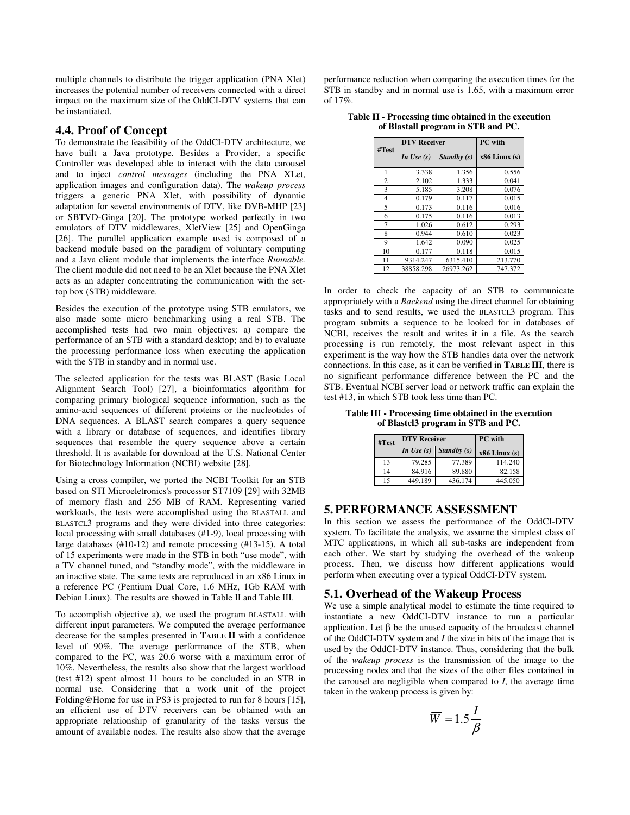multiple channels to distribute the trigger application (PNA Xlet) increases the potential number of receivers connected with a direct impact on the maximum size of the OddCI-DTV systems that can be instantiated.

#### **4.4. Proof of Concept**

To demonstrate the feasibility of the OddCI-DTV architecture, we have built a Java prototype. Besides a Provider, a specific Controller was developed able to interact with the data carousel and to inject *control messages* (including the PNA XLet, application images and configuration data). The *wakeup process* triggers a generic PNA Xlet, with possibility of dynamic adaptation for several environments of DTV, like DVB-MHP [23] or SBTVD-Ginga [20]. The prototype worked perfectly in two emulators of DTV middlewares, XletView [25] and OpenGinga [26]. The parallel application example used is composed of a backend module based on the paradigm of voluntary computing and a Java client module that implements the interface *Runnable.* The client module did not need to be an Xlet because the PNA Xlet acts as an adapter concentrating the communication with the settop box (STB) middleware.

Besides the execution of the prototype using STB emulators, we also made some micro benchmarking using a real STB. The accomplished tests had two main objectives: a) compare the performance of an STB with a standard desktop; and b) to evaluate the processing performance loss when executing the application with the STB in standby and in normal use.

The selected application for the tests was BLAST (Basic Local Alignment Search Tool) [27], a bioinformatics algorithm for comparing primary biological sequence information, such as the amino-acid sequences of different proteins or the nucleotides of DNA sequences. A BLAST search compares a query sequence with a library or database of sequences, and identifies library sequences that resemble the query sequence above a certain threshold. It is available for download at the U.S. National Center for Biotechnology Information (NCBI) website [28].

Using a cross compiler, we ported the NCBI Toolkit for an STB based on STI Microeletronics's processor ST7109 [29] with 32MB of memory flash and 256 MB of RAM. Representing varied workloads, the tests were accomplished using the BLASTALL and BLASTCL3 programs and they were divided into three categories: local processing with small databases (#1-9), local processing with large databases (#10-12) and remote processing (#13-15). A total of 15 experiments were made in the STB in both "use mode", with a TV channel tuned, and "standby mode", with the middleware in an inactive state. The same tests are reproduced in an x86 Linux in a reference PC (Pentium Dual Core, 1.6 MHz, 1Gb RAM with Debian Linux). The results are showed in Table II and Table III.

To accomplish objective a), we used the program BLASTALL with different input parameters. We computed the average performance decrease for the samples presented in **TABLE II** with a confidence level of 90%. The average performance of the STB, when compared to the PC, was 20.6 worse with a maximum error of 10%. Nevertheless, the results also show that the largest workload (test #12) spent almost 11 hours to be concluded in an STB in normal use. Considering that a work unit of the project Folding@Home for use in PS3 is projected to run for 8 hours [15], an efficient use of DTV receivers can be obtained with an appropriate relationship of granularity of the tasks versus the amount of available nodes. The results also show that the average

performance reduction when comparing the execution times for the STB in standby and in normal use is 1.65, with a maximum error of 17%.

| Table II - Processing time obtained in the execution |                                    |  |
|------------------------------------------------------|------------------------------------|--|
|                                                      | of Blastall program in STB and PC. |  |

| #Test          | <b>DTV Receiver</b> | PC with       |                   |
|----------------|---------------------|---------------|-------------------|
|                | In Use $(s)$        | Standby $(s)$ | $x86$ Linux $(s)$ |
| 1              | 3.338               | 1.356         | 0.556             |
| $\overline{2}$ | 2.102               | 1.333         | 0.041             |
| 3              | 5.185               | 3.208         | 0.076             |
| $\overline{4}$ | 0.179               | 0.117         | 0.015             |
| 5              | 0.173               | 0.116         | 0.016             |
| 6              | 0.175               | 0.116         | 0.013             |
| 7              | 1.026               | 0.612         | 0.293             |
| 8              | 0.944               | 0.610         | 0.023             |
| 9              | 1.642               | 0.090         | 0.025             |
| 10             | 0.177               | 0.118         | 0.015             |
| 11             | 9314.247            | 6315.410      | 213.770           |
| 12             | 38858.298           | 26973.262     | 747.372           |

In order to check the capacity of an STB to communicate appropriately with a *Backend* using the direct channel for obtaining tasks and to send results, we used the BLASTCL3 program. This program submits a sequence to be looked for in databases of NCBI, receives the result and writes it in a file. As the search processing is run remotely, the most relevant aspect in this experiment is the way how the STB handles data over the network connections. In this case, as it can be verified in **TABLE III**, there is no significant performance difference between the PC and the STB. Eventual NCBI server load or network traffic can explain the test #13, in which STB took less time than PC.

**Table III - Processing time obtained in the execution of Blastcl3 program in STB and PC.** 

| #Test | <b>DTV</b> Receiver |               | <b>PC</b> with    |
|-------|---------------------|---------------|-------------------|
|       | In Use $(s)$        | Standby $(s)$ | $x86$ Linux $(s)$ |
| 13    | 79.285              | 77.389        | 114.240           |
| 14    | 84.916              | 89.880        | 82.158            |
| 15    | 449.189             | 436.174       | 445.050           |

## **5.PERFORMANCE ASSESSMENT**

In this section we assess the performance of the OddCI-DTV system. To facilitate the analysis, we assume the simplest class of MTC applications, in which all sub-tasks are independent from each other. We start by studying the overhead of the wakeup process. Then, we discuss how different applications would perform when executing over a typical OddCI-DTV system.

#### **5.1. Overhead of the Wakeup Process**

We use a simple analytical model to estimate the time required to instantiate a new OddCI-DTV instance to run a particular application. Let β be the unused capacity of the broadcast channel of the OddCI-DTV system and *I* the size in bits of the image that is used by the OddCI-DTV instance. Thus, considering that the bulk of the *wakeup process* is the transmission of the image to the processing nodes and that the sizes of the other files contained in the carousel are negligible when compared to *I*, the average time taken in the wakeup process is given by:

$$
\overline{W} = 1.5 \frac{I}{\beta}
$$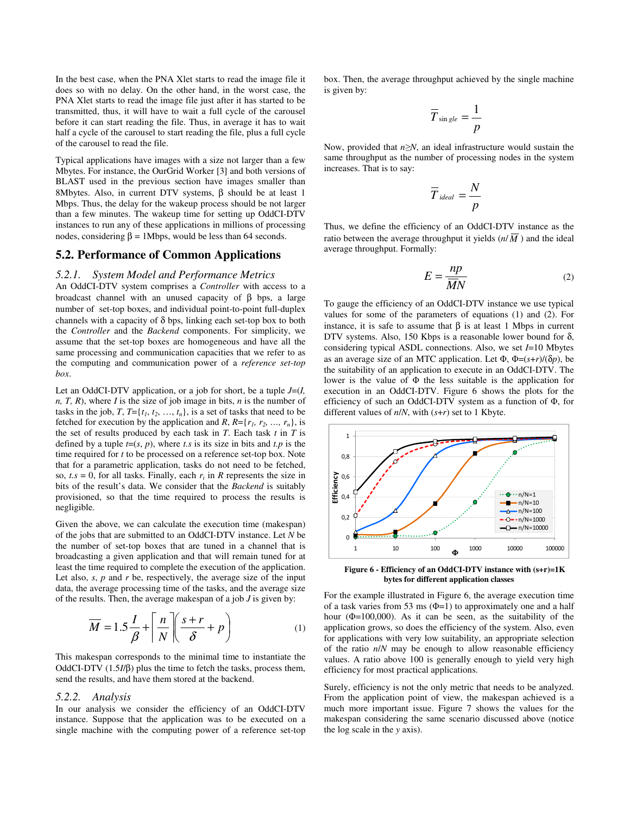In the best case, when the PNA Xlet starts to read the image file it does so with no delay. On the other hand, in the worst case, the PNA Xlet starts to read the image file just after it has started to be transmitted, thus, it will have to wait a full cycle of the carousel before it can start reading the file. Thus, in average it has to wait half a cycle of the carousel to start reading the file, plus a full cycle of the carousel to read the file.

Typical applications have images with a size not larger than a few Mbytes. For instance, the OurGrid Worker [3] and both versions of BLAST used in the previous section have images smaller than 8Mbytes. Also, in current DTV systems, β should be at least 1 Mbps. Thus, the delay for the wakeup process should be not larger than a few minutes. The wakeup time for setting up OddCI-DTV instances to run any of these applications in millions of processing nodes, considering  $\beta = 1$ Mbps, would be less than 64 seconds.

#### **5.2. Performance of Common Applications**

#### *5.2.1. System Model and Performance Metrics*

An OddCI-DTV system comprises a *Controller* with access to a broadcast channel with an unused capacity of β bps, a large number of set-top boxes, and individual point-to-point full-duplex channels with a capacity of  $\delta$  bps, linking each set-top box to both the *Controller* and the *Backend* components. For simplicity, we assume that the set-top boxes are homogeneous and have all the same processing and communication capacities that we refer to as the computing and communication power of a *reference set-top box*.

Let an OddCI-DTV application, or a job for short, be a tuple *J*=(*I, n, T, R*), where *I* is the size of job image in bits, *n* is the number of tasks in the job, *T*,  $T = \{t_1, t_2, \ldots, t_n\}$ , is a set of tasks that need to be fetched for execution by the application and  $R$ ,  $R = \{r_1, r_2, ..., r_n\}$ , is the set of results produced by each task in *T*. Each task *t* in *T* is defined by a tuple  $t=(s, p)$ , where *t.s* is its size in bits and *t.p* is the time required for *t* to be processed on a reference set-top box. Note that for a parametric application, tasks do not need to be fetched, so,  $t.s = 0$ , for all tasks. Finally, each  $r_i$  in  $R$  represents the size in bits of the result's data. We consider that the *Backend* is suitably provisioned, so that the time required to process the results is negligible.

Given the above, we can calculate the execution time (makespan) of the jobs that are submitted to an OddCI-DTV instance. Let *N* be the number of set-top boxes that are tuned in a channel that is broadcasting a given application and that will remain tuned for at least the time required to complete the execution of the application. Let also,  $s$ ,  $p$  and  $r$  be, respectively, the average size of the input data, the average processing time of the tasks, and the average size of the results. Then, the average makespan of a job *J* is given by:

$$
\overline{M} = 1.5 \frac{I}{\beta} + \left[ \frac{n}{N} \left( \frac{s+r}{\delta} + p \right) \right]
$$
 (1)

This makespan corresponds to the minimal time to instantiate the OddCI-DTV (1.5*I*/β) plus the time to fetch the tasks, process them, send the results, and have them stored at the backend.

#### *5.2.2. Analysis*

In our analysis we consider the efficiency of an OddCI-DTV instance. Suppose that the application was to be executed on a single machine with the computing power of a reference set-top box. Then, the average throughput achieved by the single machine is given by:

$$
\overline{T}_{\sin \textit{gle}} = \frac{1}{p}
$$

Now, provided that *n*≥*N*, an ideal infrastructure would sustain the same throughput as the number of processing nodes in the system increases. That is to say:

$$
\overline{T}_{ideal} = \frac{N}{p}
$$

Thus, we define the efficiency of an OddCI-DTV instance as the ratio between the average throughput it yields  $(n/\overline{M})$  and the ideal average throughput. Formally:

$$
E = \frac{np}{\overline{M}N} \tag{2}
$$

To gauge the efficiency of an OddCI-DTV instance we use typical values for some of the parameters of equations (1) and (2). For instance, it is safe to assume that β is at least 1 Mbps in current DTV systems. Also, 150 Kbps is a reasonable lower bound for  $\delta$ , considering typical ASDL connections. Also, we set *I*=10 Mbytes as an average size of an MTC application. Let  $\Phi$ ,  $\Phi = (s+r)/(\delta p)$ , be the suitability of an application to execute in an OddCI-DTV. The lower is the value of Φ the less suitable is the application for execution in an OddCI-DTV. Figure 6 shows the plots for the efficiency of such an OddCI-DTV system as a function of Φ, for different values of *n*/*N*, with (*s*+*r*) set to 1 Kbyte.



**Figure 6 - Efficiency of an OddCI-DTV instance with (s+r)=1K bytes for different application classes** 

For the example illustrated in Figure 6, the average execution time of a task varies from 53 ms  $(\Phi=1)$  to approximately one and a half hour  $(\Phi=100,000)$ . As it can be seen, as the suitability of the application grows, so does the efficiency of the system. Also, even for applications with very low suitability, an appropriate selection of the ratio *n*/*N* may be enough to allow reasonable efficiency values. A ratio above 100 is generally enough to yield very high efficiency for most practical applications.

Surely, efficiency is not the only metric that needs to be analyzed. From the application point of view, the makespan achieved is a much more important issue. Figure 7 shows the values for the makespan considering the same scenario discussed above (notice the log scale in the *y* axis).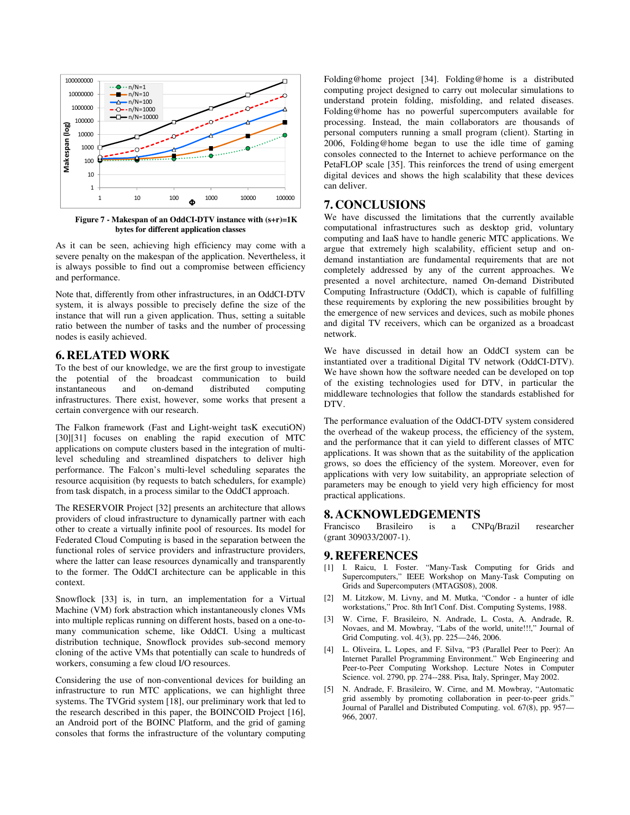

**Figure 7 - Makespan of an OddCI-DTV instance with (s+r)=1K bytes for different application classes** 

As it can be seen, achieving high efficiency may come with a severe penalty on the makespan of the application. Nevertheless, it is always possible to find out a compromise between efficiency and performance.

Note that, differently from other infrastructures, in an OddCI-DTV system, it is always possible to precisely define the size of the instance that will run a given application. Thus, setting a suitable ratio between the number of tasks and the number of processing nodes is easily achieved.

## **6. RELATED WORK**

To the best of our knowledge, we are the first group to investigate the potential of the broadcast communication to build instantaneous infrastructures. There exist, however, some works that present a certain convergence with our research.

The Falkon framework (Fast and Light-weight tasK executiON) [30][31] focuses on enabling the rapid execution of MTC applications on compute clusters based in the integration of multilevel scheduling and streamlined dispatchers to deliver high performance. The Falcon's multi-level scheduling separates the resource acquisition (by requests to batch schedulers, for example) from task dispatch, in a process similar to the OddCI approach.

The RESERVOIR Project [32] presents an architecture that allows providers of cloud infrastructure to dynamically partner with each other to create a virtually infinite pool of resources. Its model for Federated Cloud Computing is based in the separation between the functional roles of service providers and infrastructure providers, where the latter can lease resources dynamically and transparently to the former. The OddCI architecture can be applicable in this context.

Snowflock [33] is, in turn, an implementation for a Virtual Machine (VM) fork abstraction which instantaneously clones VMs into multiple replicas running on different hosts, based on a one-tomany communication scheme, like OddCI. Using a multicast distribution technique, Snowflock provides sub-second memory cloning of the active VMs that potentially can scale to hundreds of workers, consuming a few cloud I/O resources.

Considering the use of non-conventional devices for building an infrastructure to run MTC applications, we can highlight three systems. The TVGrid system [18], our preliminary work that led to the research described in this paper, the BOINCOID Project [16], an Android port of the BOINC Platform, and the grid of gaming consoles that forms the infrastructure of the voluntary computing Folding@home project [34]. Folding@home is a distributed computing project designed to carry out molecular simulations to understand protein folding, misfolding, and related diseases. Folding@home has no powerful supercomputers available for processing. Instead, the main collaborators are thousands of personal computers running a small program (client). Starting in 2006, Folding@home began to use the idle time of gaming consoles connected to the Internet to achieve performance on the PetaFLOP scale [35]. This reinforces the trend of using emergent digital devices and shows the high scalability that these devices can deliver.

## **7. CONCLUSIONS**

We have discussed the limitations that the currently available computational infrastructures such as desktop grid, voluntary computing and IaaS have to handle generic MTC applications. We argue that extremely high scalability, efficient setup and ondemand instantiation are fundamental requirements that are not completely addressed by any of the current approaches. We presented a novel architecture, named On-demand Distributed Computing Infrastructure (OddCI), which is capable of fulfilling these requirements by exploring the new possibilities brought by the emergence of new services and devices, such as mobile phones and digital TV receivers, which can be organized as a broadcast network.

We have discussed in detail how an OddCI system can be instantiated over a traditional Digital TV network (OddCI-DTV). We have shown how the software needed can be developed on top of the existing technologies used for DTV, in particular the middleware technologies that follow the standards established for DTV.

The performance evaluation of the OddCI-DTV system considered the overhead of the wakeup process, the efficiency of the system, and the performance that it can yield to different classes of MTC applications. It was shown that as the suitability of the application grows, so does the efficiency of the system. Moreover, even for applications with very low suitability, an appropriate selection of parameters may be enough to yield very high efficiency for most practical applications.

#### **8. ACKNOWLEDGEMENTS**

Francisco Brasileiro is a CNPq/Brazil researcher (grant 309033/2007-1).

#### **9. REFERENCES**

- [1] I. Raicu, I. Foster. "Many-Task Computing for Grids and Supercomputers," IEEE Workshop on Many-Task Computing on Grids and Supercomputers (MTAGS08), 2008.
- [2] M. Litzkow, M. Livny, and M. Mutka, "Condor a hunter of idle workstations," Proc. 8th Int'l Conf. Dist. Computing Systems, 1988.
- [3] W. Cirne, F. Brasileiro, N. Andrade, L. Costa, A. Andrade, R. Novaes, and M. Mowbray, "Labs of the world, unite!!!," Journal of Grid Computing. vol. 4(3), pp. 225—246, 2006.
- [4] L. Oliveira, L. Lopes, and F. Silva, "P3 (Parallel Peer to Peer): An Internet Parallel Programming Environment." Web Engineering and Peer-to-Peer Computing Workshop. Lecture Notes in Computer Science. vol. 2790, pp. 274--288. Pisa, Italy, Springer, May 2002.
- [5] N. Andrade, F. Brasileiro, W. Cirne, and M. Mowbray, "Automatic grid assembly by promoting collaboration in peer-to-peer grids." Journal of Parallel and Distributed Computing. vol. 67(8), pp. 957— 966, 2007.